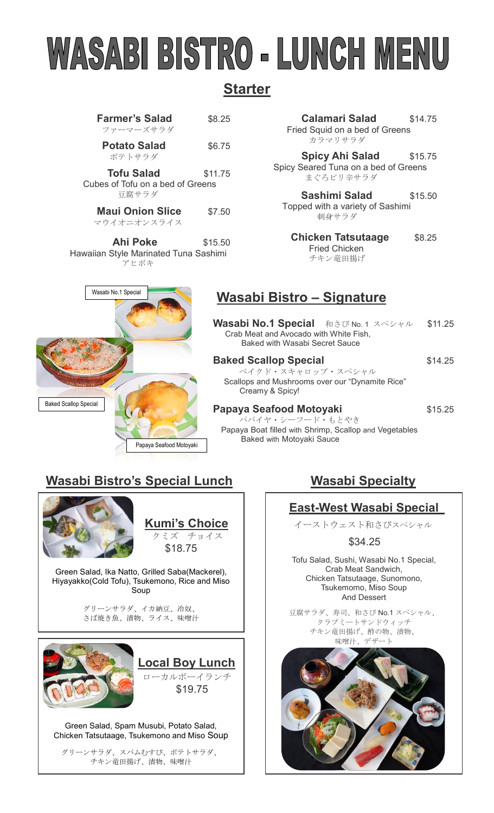# WASABI BISTRO - LUNCH MENU

# **Starter**

| <b>Farmer's Salad</b><br>ファーマーズサラダ                               | \$8.25  |
|------------------------------------------------------------------|---------|
| <b>Potato Salad</b><br>ポテトサラダ                                    | \$6.75  |
| <b>Tofu Salad</b><br>Cubes of Tofu on a bed of Greens<br>豆腐サラダ   | \$11.75 |
| <b>Maui Onion Slice</b><br>マウイオニオンスライス                           | \$7.50  |
| <b>Ahi Poke</b><br>Hawaiian Style Marinated Tuna Sashimi<br>アヒポキ | \$15.50 |

 **Calamari Salad** \$14.75 Fried Squid on a bed of Greens カラマリサラダ

**Spicy Ahi Salad** \$15.75 Spicy Seared Tuna on a bed of Greens まぐろピリ辛サラダ

**Sashimi Salad** \$15.50 Topped with a variety of Sashimi 刺身サラダ

**Chicken Tatsutaage \$8.25**  Fried Chicken チキン竜田揚げ

## **Wasabi Bistro – Signature**

| <b>Wasabi No.1 Special</b> 和さび No.1 スペシャル<br>Crab Meat and Avocado with White Fish,<br>Baked with Wasabi Secret Sauce | \$11.25 |
|-----------------------------------------------------------------------------------------------------------------------|---------|
| <b>Baked Scallop Special</b>                                                                                          | \$14.25 |

ベイクド・スキャロップ・スペシャル Scallops and Mushrooms over our "Dynamite Rice" Creamy & Spicy!

# **Papaya Seafood Motoyaki** \$15.25

パパイヤ・シーフード・もとやき Papaya Boat filled with Shrimp, Scallop and Vegetables Baked with Motoyaki Sauce

# **Wasabi Bistro's Special Lunch Masabi Specialty**

Papaya Seafood Motoyaki

Wasabi No.1 Special



Baked Scallop Special

 **Kumi's Choice** クミズ チョイス \$18.75

Green Salad, Ika Natto, Grilled Saba(Mackerel), Hiyayakko(Cold Tofu), Tsukemono, Rice and Miso Soup

> グリーンサラダ、イカ納豆、冷奴、 さば焼き魚、漬物、ライス、味噌汁



Green Salad, Spam Musubi, Potato Salad, Chicken Tatsutaage, Tsukemono and Miso Soup

グリーンサラダ、スパムむすび、ポテトサラダ、 チキン竜田揚げ、漬物、味噌汁

### **East-West Wasabi Special**

イーストウェスト和さびスペシャル

\$34.25

Tofu Salad, Sushi, Wasabi No.1 Special, Crab Meat Sandwich, Chicken Tatsutaage, Sunomono, Tsukemomo, Miso Soup And Dessert

豆腐サラダ、寿司、和さび No.1 スペシャル、 クラブミートサンドウィッチ チキン竜田揚げ、酢の物、漬物、 味噌汁 デザート